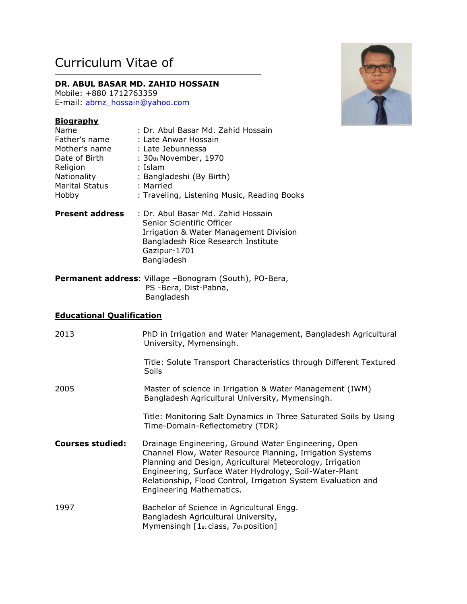# Curriculum Vitae of

# **DR. ABUL BASAR MD. ZAHID HOSSAIN**

Mobile: +880 1712763359 E-mail: [abmz\\_hossain@yahoo.com](mailto:abmz_hossain@yahoo.com)

# **Biography**

| Name                  | : Dr. Abul Basar Md. Zahid Hossain          |
|-----------------------|---------------------------------------------|
| Father's name         | : Late Anwar Hossain                        |
| Mother's name         | : Late Jebunnessa                           |
| Date of Birth         | : 30th November, 1970                       |
| Religion              | : Islam                                     |
| Nationality           | : Bangladeshi (By Birth)                    |
| <b>Marital Status</b> | : Married                                   |
| Hobby                 | : Traveling, Listening Music, Reading Books |
|                       |                                             |

- **Present address** : Dr. Abul Basar Md. Zahid Hossain Senior Scientific Officer Irrigation & Water Management Division Bangladesh Rice Research Institute Gazipur-1701 Bangladesh
- **Permanent address**: Village –Bonogram (South), PO-Bera, PS -Bera, Dist-Pabna, Bangladesh

## **Educational Qualification**

| 2013                    | PhD in Irrigation and Water Management, Bangladesh Agricultural<br>University, Mymensingh.                                                                                                                                                                                                                                            |
|-------------------------|---------------------------------------------------------------------------------------------------------------------------------------------------------------------------------------------------------------------------------------------------------------------------------------------------------------------------------------|
|                         | Title: Solute Transport Characteristics through Different Textured<br>Soils                                                                                                                                                                                                                                                           |
| 2005                    | Master of science in Irrigation & Water Management (IWM)<br>Bangladesh Agricultural University, Mymensingh.                                                                                                                                                                                                                           |
|                         | Title: Monitoring Salt Dynamics in Three Saturated Soils by Using<br>Time-Domain-Reflectometry (TDR)                                                                                                                                                                                                                                  |
| <b>Courses studied:</b> | Drainage Engineering, Ground Water Engineering, Open<br>Channel Flow, Water Resource Planning, Irrigation Systems<br>Planning and Design, Agricultural Meteorology, Irrigation<br>Engineering, Surface Water Hydrology, Soil-Water-Plant<br>Relationship, Flood Control, Irrigation System Evaluation and<br>Engineering Mathematics. |
| 1997                    | Bachelor of Science in Agricultural Engg.<br>Bangladesh Agricultural University,<br>Mymensingh $[1st class, 7th position]$                                                                                                                                                                                                            |

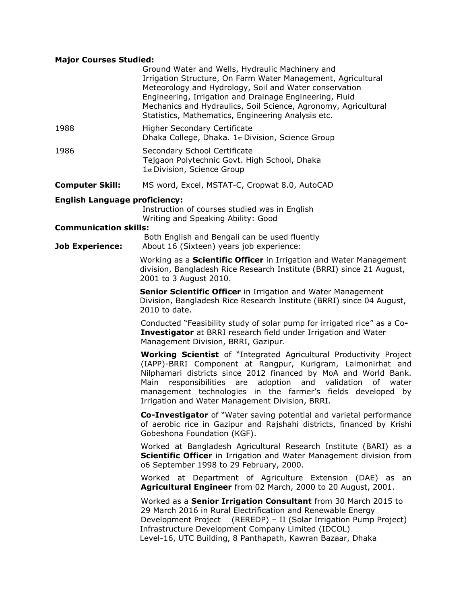# **Major Courses Studied:**

|                                                        | Ground Water and Wells, Hydraulic Machinery and<br>Irrigation Structure, On Farm Water Management, Agricultural<br>Meteorology and Hydrology, Soil and Water conservation<br>Engineering, Irrigation and Drainage Engineering, Fluid<br>Mechanics and Hydraulics, Soil Science, Agronomy, Agricultural<br>Statistics, Mathematics, Engineering Analysis etc.                                      |
|--------------------------------------------------------|---------------------------------------------------------------------------------------------------------------------------------------------------------------------------------------------------------------------------------------------------------------------------------------------------------------------------------------------------------------------------------------------------|
| 1988                                                   | <b>Higher Secondary Certificate</b><br>Dhaka College, Dhaka. 1st Division, Science Group                                                                                                                                                                                                                                                                                                          |
| 1986                                                   | Secondary School Certificate<br>Tejgaon Polytechnic Govt. High School, Dhaka<br>1st Division, Science Group                                                                                                                                                                                                                                                                                       |
| <b>Computer Skill:</b>                                 | MS word, Excel, MSTAT-C, Cropwat 8.0, AutoCAD                                                                                                                                                                                                                                                                                                                                                     |
| <b>English Language proficiency:</b>                   | Instruction of courses studied was in English<br>Writing and Speaking Ability: Good                                                                                                                                                                                                                                                                                                               |
| <b>Communication skills:</b><br><b>Job Experience:</b> | Both English and Bengali can be used fluently<br>About 16 (Sixteen) years job experience:                                                                                                                                                                                                                                                                                                         |
|                                                        | Working as a <b>Scientific Officer</b> in Irrigation and Water Management<br>division, Bangladesh Rice Research Institute (BRRI) since 21 August,<br>2001 to 3 August 2010.                                                                                                                                                                                                                       |
|                                                        | Senior Scientific Officer in Irrigation and Water Management<br>Division, Bangladesh Rice Research Institute (BRRI) since 04 August,<br>2010 to date.                                                                                                                                                                                                                                             |
|                                                        | Conducted "Feasibility study of solar pump for irrigated rice" as a Co-<br>Investigator at BRRI research field under Irrigation and Water<br>Management Division, BRRI, Gazipur.                                                                                                                                                                                                                  |
|                                                        | <b>Working Scientist</b> of "Integrated Agricultural Productivity Project<br>(IAPP)-BRRI Component at Rangpur, Kurigram, Lalmonirhat and<br>Nilphamari districts since 2012 financed by MoA and World Bank.<br>responsibilities are adoption and validation<br>Main<br>of water<br>management technologies in the farmer's fields developed by<br>Irrigation and Water Management Division, BRRI. |
|                                                        | <b>Co-Investigator</b> of "Water saving potential and varietal performance<br>of aerobic rice in Gazipur and Rajshahi districts, financed by Krishi<br>Gobeshona Foundation (KGF).                                                                                                                                                                                                                |
|                                                        | Worked at Bangladesh Agricultural Research Institute (BARI) as a<br>Scientific Officer in Irrigation and Water Management division from<br>o6 September 1998 to 29 February, 2000.                                                                                                                                                                                                                |
|                                                        | Worked at Department of Agriculture Extension (DAE) as an<br>Agricultural Engineer from 02 March, 2000 to 20 August, 2001.                                                                                                                                                                                                                                                                        |
|                                                        | Worked as a Senior Irrigation Consultant from 30 March 2015 to<br>29 March 2016 in Rural Electrification and Renewable Energy<br>Development Project (REREDP) - II (Solar Irrigation Pump Project)<br>Infrastructure Development Company Limited (IDCOL)<br>Level-16, UTC Building, 8 Panthapath, Kawran Bazaar, Dhaka                                                                            |
|                                                        |                                                                                                                                                                                                                                                                                                                                                                                                   |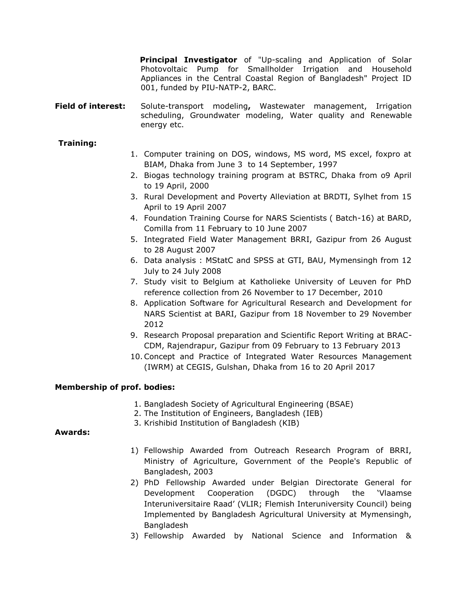**Principal Investigator** of "Up-scaling and Application of Solar Photovoltaic Pump for Smallholder Irrigation and Household Appliances in the Central Coastal Region of Bangladesh" Project ID 001, funded by PIU-NATP-2, BARC.

**Field of interest:** Solute-transport modeling**,** Wastewater management, Irrigation scheduling, Groundwater modeling, Water quality and Renewable energy etc.

# **Training:**

- 1. Computer training on DOS, windows, MS word, MS excel, foxpro at BIAM, Dhaka from June 3 to 14 September, 1997
- 2. Biogas technology training program at BSTRC, Dhaka from o9 April to 19 April, 2000
- 3. Rural Development and Poverty Alleviation at BRDTI, Sylhet from 15 April to 19 April 2007
- 4. Foundation Training Course for NARS Scientists ( Batch-16) at BARD, Comilla from 11 February to 10 June 2007
- 5. Integrated Field Water Management BRRI, Gazipur from 26 August to 28 August 2007
- 6. Data analysis : MStatC and SPSS at GTI, BAU, Mymensingh from 12 July to 24 July 2008
- 7. Study visit to Belgium at Katholieke University of Leuven for PhD reference collection from 26 November to 17 December, 2010
- 8. Application Software for Agricultural Research and Development for NARS Scientist at BARI, Gazipur from 18 November to 29 November 2012
- 9. Research Proposal preparation and Scientific Report Writing at BRAC-CDM, Rajendrapur, Gazipur from 09 February to 13 February 2013
- 10.Concept and Practice of Integrated Water Resources Management (IWRM) at CEGIS, Gulshan, Dhaka from 16 to 20 April 2017

#### **Membership of prof. bodies:**

- 1. Bangladesh Society of Agricultural Engineering (BSAE)
- 2. The Institution of Engineers, Bangladesh (IEB)
- 3. Krishibid Institution of Bangladesh (KIB)

#### **Awards:**

- 1) Fellowship Awarded from Outreach Research Program of BRRI, Ministry of Agriculture, Government of the People's Republic of Bangladesh, 2003
- 2) PhD Fellowship Awarded under Belgian Directorate General for Development Cooperation (DGDC) through the 'Vlaamse Interuniversitaire Raad' (VLIR; Flemish Interuniversity Council) being Implemented by Bangladesh Agricultural University at Mymensingh, Bangladesh
- 3) Fellowship Awarded by National Science and Information &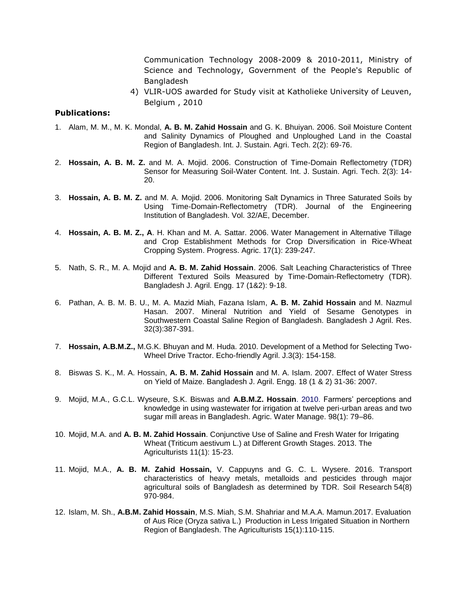Communication Technology 2008-2009 & 2010-2011, Ministry of Science and Technology, Government of the People's Republic of Bangladesh

4) VLIR-UOS awarded for Study visit at Katholieke University of Leuven, Belgium , 2010

# **Publications:**

- 1. Alam, M. M., M. K. Mondal, **A. B. M. Zahid Hossain** and G. K. Bhuiyan. 2006. Soil Moisture Content and Salinity Dynamics of Ploughed and Unploughed Land in the Coastal Region of Bangladesh. Int. J. Sustain. Agri. Tech. 2(2): 69-76.
- 2. **Hossain, A. B. M. Z.** and M. A. Mojid. 2006. Construction of Time-Domain Reflectometry (TDR) Sensor for Measuring Soil-Water Content. Int. J. Sustain. Agri. Tech. 2(3): 14- 20.
- 3. **Hossain, A. B. M. Z.** and M. A. Mojid. 2006. Monitoring Salt Dynamics in Three Saturated Soils by Using Time-Domain-Reflectometry (TDR). Journal of the Engineering Institution of Bangladesh. Vol. 32/AE, December.
- 4. **Hossain, A. B. M. Z., A**. H. Khan and M. A. Sattar. 2006. Water Management in Alternative Tillage and Crop Establishment Methods for Crop Diversification in Rice-Wheat Cropping System. Progress. Agric. 17(1): 239-247.
- 5. Nath, S. R., M. A. Mojid and **A. B. M. Zahid Hossain**. 2006. Salt Leaching Characteristics of Three Different Textured Soils Measured by Time-Domain-Reflectometry (TDR). Bangladesh J. Agril. Engg. 17 (1&2): 9-18.
- 6. Pathan, A. B. M. B. U., M. A. Mazid Miah, Fazana Islam, **A. B. M. Zahid Hossain** and M. Nazmul Hasan. 2007. Mineral Nutrition and Yield of Sesame Genotypes in Southwestern Coastal Saline Region of Bangladesh. Bangladesh J Agril. Res. 32(3):387-391.
- 7. **Hossain, A.B.M.Z.,** M.G.K. Bhuyan and M. Huda. 2010. Development of a Method for Selecting Two-Wheel Drive Tractor. Echo-friendly Agril. J.3(3): 154-158.
- 8. Biswas S. K., M. A. Hossain, **A. B. M. Zahid Hossain** and M. A. Islam. 2007. Effect of Water Stress on Yield of Maize. Bangladesh J. Agril. Engg. 18 (1 & 2) 31-36: 2007.
- 9. Mojid, M.A., G.C.L. Wyseure, S.K. Biswas and **A.B.M.Z. Hossain**. 2010. Farmers' perceptions and knowledge in using wastewater for irrigation at twelve peri-urban areas and two sugar mill areas in Bangladesh. Agric. Water Manage. 98(1): 79–86.
- 10. Mojid, M.A. and **A. B. M. Zahid Hossain**. Conjunctive Use of Saline and Fresh Water for Irrigating Wheat (Triticum aestivum L.) at Different Growth Stages. 2013. The Agriculturists 11(1): 15-23.
- 11. Mojid, M.A., **A. B. M. Zahid Hossain,** V. Cappuyns and G. C. L. Wysere. 2016. Transport characteristics of heavy metals, metalloids and pesticides through major agricultural soils of Bangladesh as determined by TDR. Soil Research 54(8) 970-984.
- 12. Islam, M. Sh., **A.B.M. Zahid Hossain**, M.S. Miah, S.M. Shahriar and M.A.A. Mamun.2017. Evaluation of Aus Rice (Oryza sativa L.) Production in Less Irrigated Situation in Northern Region of Bangladesh. The Agriculturists 15(1):110-115.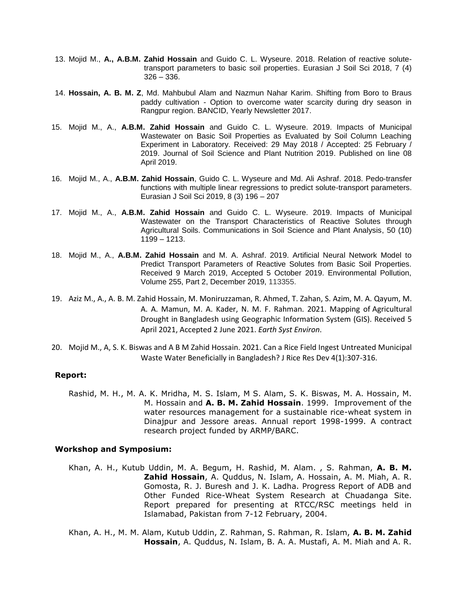- 13. Mojid M., **A., A.B.M. Zahid Hossain** and Guido C. L. Wyseure. 2018. Relation of reactive solutetransport parameters to basic soil properties. Eurasian J Soil Sci 2018, 7 (4) 326 – 336.
- 14. **Hossain, A. B. M. Z**, Md. Mahbubul Alam and Nazmun Nahar Karim. Shifting from Boro to Braus paddy cultivation - Option to overcome water scarcity during dry season in Rangpur region. BANCID, Yearly Newsletter 2017.
- 15. Mojid M., A., **A.B.M. Zahid Hossain** and Guido C. L. Wyseure. 2019. Impacts of Municipal Wastewater on Basic Soil Properties as Evaluated by Soil Column Leaching Experiment in Laboratory. Received: 29 May 2018 / Accepted: 25 February / 2019. Journal of Soil Science and Plant Nutrition 2019. Published on line 08 April 2019.
- 16. Mojid M., A., **A.B.M. Zahid Hossain**, Guido C. L. Wyseure and Md. Ali Ashraf. 2018. Pedo-transfer functions with multiple linear regressions to predict solute-transport parameters. Eurasian J Soil Sci 2019, 8 (3) 196 – 207
- 17. Mojid M., A., **A.B.M. Zahid Hossain** and Guido C. L. Wyseure. 2019. Impacts of Municipal Wastewater on the Transport Characteristics of Reactive Solutes through Agricultural Soils. Communications in Soil Science and Plant Analysis, 50 (10) 1199 – 1213.
- 18. Mojid M., A., **A.B.M. Zahid Hossain** and M. A. Ashraf. 2019. Artificial Neural Network Model to Predict Transport Parameters of Reactive Solutes from Basic Soil Properties. Received 9 March 2019, Accepted 5 October 2019. Environmental Pollution, Volume 255, Part 2, December 2019, 113355.
- 19. Aziz M., A., A. B. M. Zahid Hossain, M. Moniruzzaman, R. Ahmed, T. Zahan, S. Azim, M. A. Qayum, M. A. A. Mamun, M. A. Kader, N. M. F. Rahman. 2021. Mapping of Agricultural Drought in Bangladesh using Geographic Information System (GIS). Received 5 April 2021, Accepted 2 June 2021. *Earth Syst Environ*.
- 20. Mojid M., A, S. K. Biswas and A B M Zahid Hossain. 2021. Can a Rice Field Ingest Untreated Municipal Waste Water Beneficially in Bangladesh? J Rice Res Dev 4(1):307-316.

#### **Report:**

Rashid, M. H., M. A. K. Mridha, M. S. Islam, M S. Alam, S. K. Biswas, M. A. Hossain, M. M. Hossain and **A. B. M. Zahid Hossain**. 1999. Improvement of the water resources management for a sustainable rice-wheat system in Dinajpur and Jessore areas. Annual report 1998-1999. A contract research project funded by ARMP/BARC.

#### **3 Workshop and Symposium:**

- 5 Khan, A. H., Kutub Uddin, M. A. Begum, H. Rashid, M. Alam. , S. Rahman, **A. B. M. Zahid Hossain**, A. Quddus, N. Islam, A. Hossain, A. M. Miah, A. R. Gomosta, R. J. Buresh and J. K. Ladha. Progress Report of ADB and Other Funded Rice-Wheat System Research at Chuadanga Site. Report prepared for presenting at RTCC/RSC meetings held in Islamabad, Pakistan from 7-12 February, 2004.
- 7 Khan, A. H., M. M. Alam, Kutub Uddin, Z. Rahman, S. Rahman, R. Islam, **A. B. M. Zahid Hossain**, A. Quddus, N. Islam, B. A. A. Mustafi, A. M. Miah and A. R.